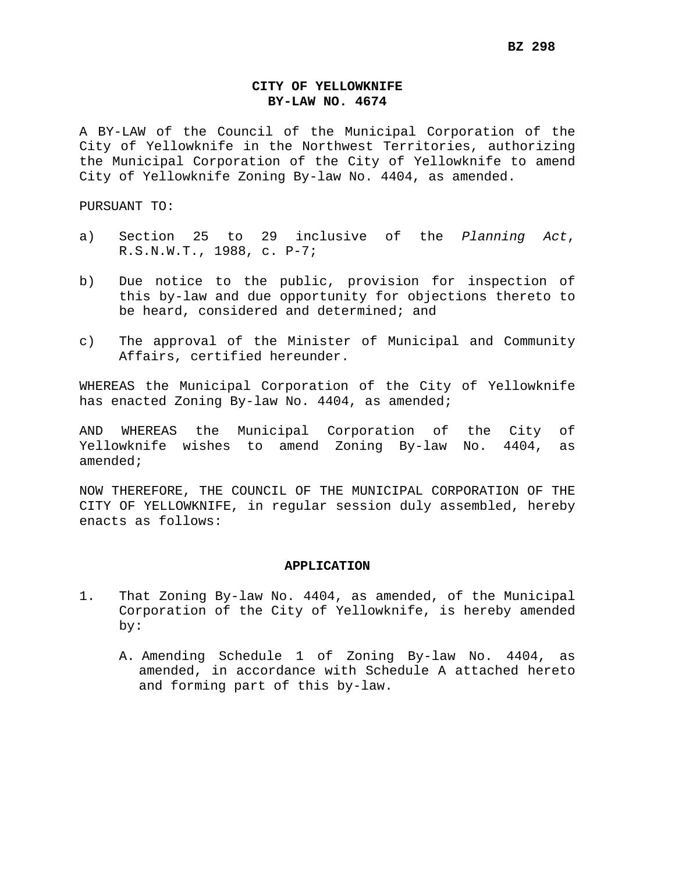## **CITY OF YELLOWKNIFE BY-LAW NO. 4674**

A BY-LAW of the Council of the Municipal Corporation of the City of Yellowknife in the Northwest Territories, authorizing the Municipal Corporation of the City of Yellowknife to amend City of Yellowknife Zoning By-law No. 4404, as amended.

PURSUANT TO:

- a) Section 25 to 29 inclusive of the *Planning Act*, R.S.N.W.T., 1988, c. P-7;
- b) Due notice to the public, provision for inspection of this by-law and due opportunity for objections thereto to be heard, considered and determined; and
- c) The approval of the Minister of Municipal and Community Affairs, certified hereunder.

WHEREAS the Municipal Corporation of the City of Yellowknife has enacted Zoning By-law No. 4404, as amended;

AND WHEREAS the Municipal Corporation of the City of Yellowknife wishes to amend Zoning By-law No. 4404, as amended;

NOW THEREFORE, THE COUNCIL OF THE MUNICIPAL CORPORATION OF THE CITY OF YELLOWKNIFE, in regular session duly assembled, hereby enacts as follows:

#### **APPLICATION**

- 1. That Zoning By-law No. 4404, as amended, of the Municipal Corporation of the City of Yellowknife, is hereby amended by:
	- A. Amending Schedule 1 of Zoning By-law No. 4404, as amended, in accordance with Schedule A attached hereto and forming part of this by-law.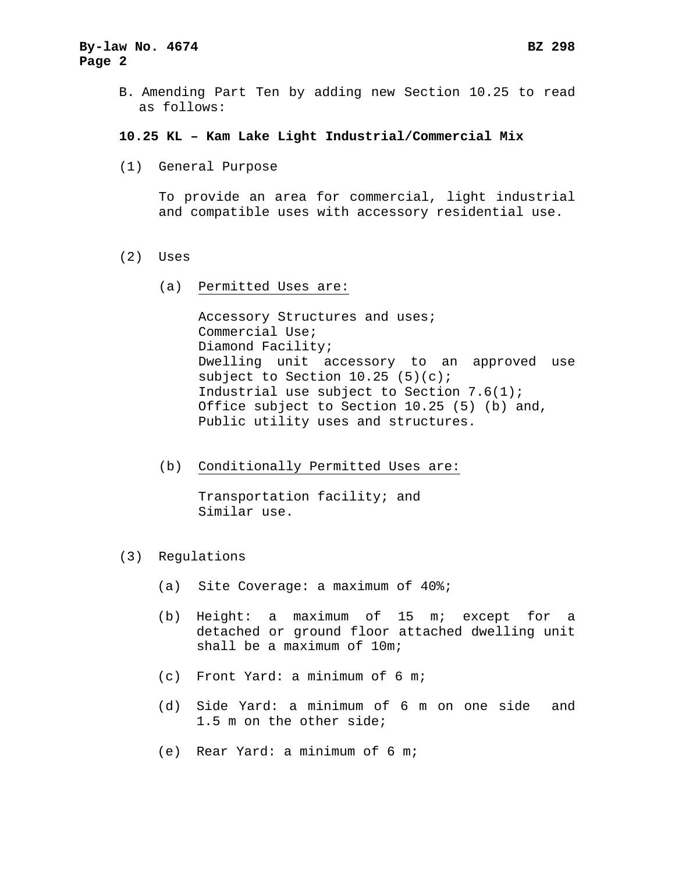# **By-law No. 4674 BZ 298 Page 2**

B. Amending Part Ten by adding new Section 10.25 to read as follows:

### **10.25 KL – Kam Lake Light Industrial/Commercial Mix**

(1) General Purpose

To provide an area for commercial, light industrial and compatible uses with accessory residential use.

- (2) Uses
	- (a) Permitted Uses are:

Accessory Structures and uses; Commercial Use; Diamond Facility; Dwelling unit accessory to an approved use subject to Section  $10.25$  (5)(c); Industrial use subject to Section 7.6(1); Office subject to Section 10.25 (5) (b) and, Public utility uses and structures.

(b) Conditionally Permitted Uses are:

Transportation facility; and Similar use.

- (3) Regulations
	- (a) Site Coverage: a maximum of 40%;
	- (b) Height: a maximum of 15 m; except for a detached or ground floor attached dwelling unit shall be a maximum of 10m;
	- (c) Front Yard: a minimum of 6 m;
	- (d) Side Yard: a minimum of 6 m on one side and 1.5 m on the other side;
	- (e) Rear Yard: a minimum of 6 m;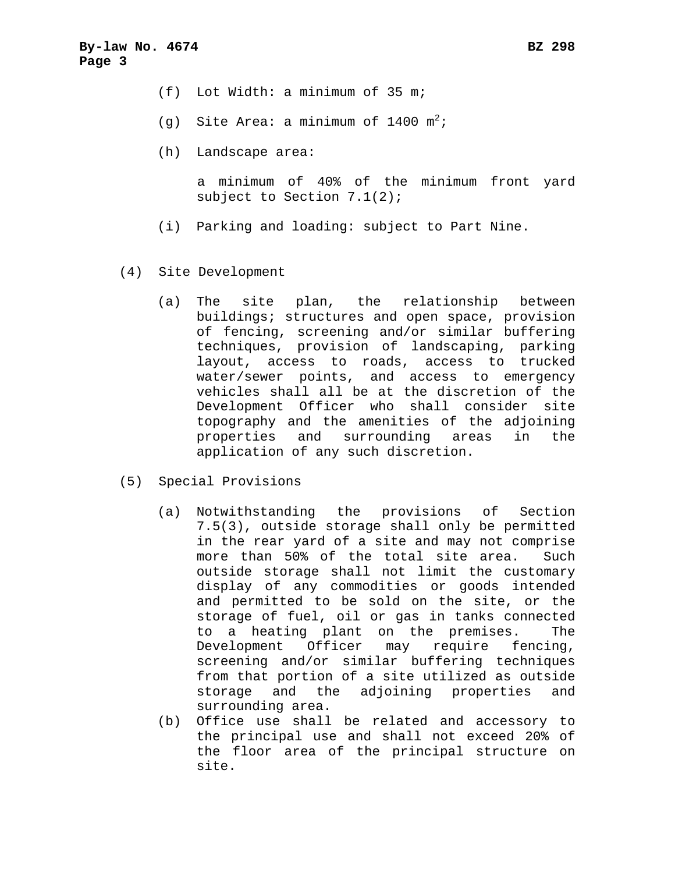- (f) Lot Width: a minimum of 35 m;
- (g) Site Area: a minimum of 1400  $m^2$ ;
- (h) Landscape area:

a minimum of 40% of the minimum front yard subject to Section 7.1(2);

- (i) Parking and loading: subject to Part Nine.
- (4) Site Development
	- (a) The site plan, the relationship between buildings; structures and open space, provision of fencing, screening and/or similar buffering techniques, provision of landscaping, parking layout, access to roads, access to trucked water/sewer points, and access to emergency vehicles shall all be at the discretion of the Development Officer who shall consider site topography and the amenities of the adjoining properties and surrounding areas in the application of any such discretion.
- (5) Special Provisions
	- (a) Notwithstanding the provisions of Section 7.5(3), outside storage shall only be permitted in the rear yard of a site and may not comprise more than 50% of the total site area. Such outside storage shall not limit the customary display of any commodities or goods intended and permitted to be sold on the site, or the storage of fuel, oil or gas in tanks connected to a heating plant on the premises. The Development Officer may require fencing, screening and/or similar buffering techniques from that portion of a site utilized as outside storage and the adjoining properties and surrounding area.
	- (b) Office use shall be related and accessory to the principal use and shall not exceed 20% of the floor area of the principal structure on site.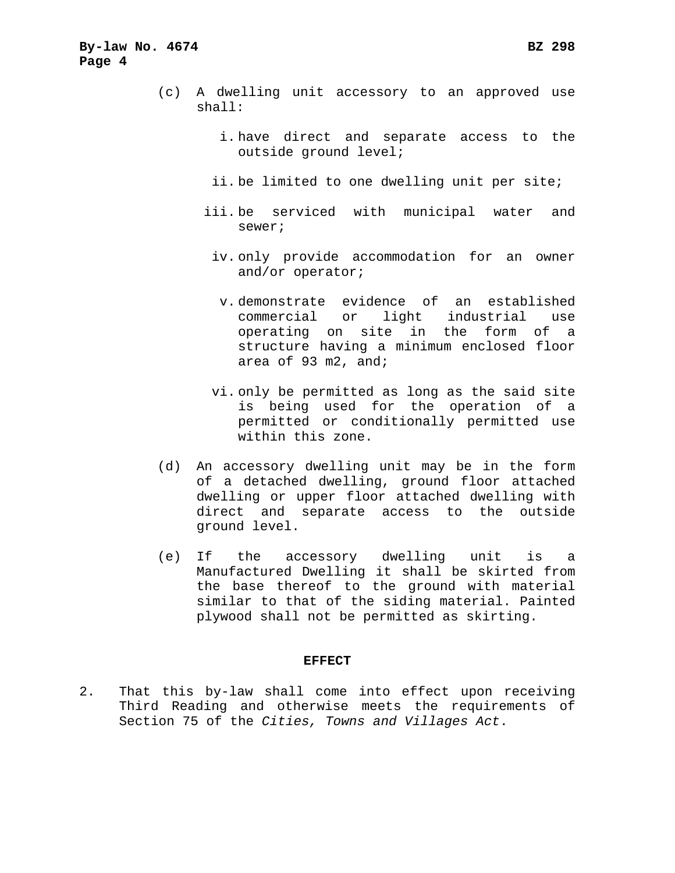- (c) A dwelling unit accessory to an approved use shall:
	- i. have direct and separate access to the outside ground level;
	- ii. be limited to one dwelling unit per site;
	- iii. be serviced with municipal water and sewer;
		- iv. only provide accommodation for an owner and/or operator;
			- v. demonstrate evidence of an established commercial or light industrial use operating on site in the form of a structure having a minimum enclosed floor area of 93 m2, and;
		- vi. only be permitted as long as the said site is being used for the operation of a permitted or conditionally permitted use within this zone.
- (d) An accessory dwelling unit may be in the form of a detached dwelling, ground floor attached dwelling or upper floor attached dwelling with direct and separate access to the outside ground level.
- (e) If the accessory dwelling unit is a Manufactured Dwelling it shall be skirted from the base thereof to the ground with material similar to that of the siding material. Painted plywood shall not be permitted as skirting.

#### **EFFECT**

2. That this by-law shall come into effect upon receiving Third Reading and otherwise meets the requirements of Section 75 of the *Cities, Towns and Villages Act*.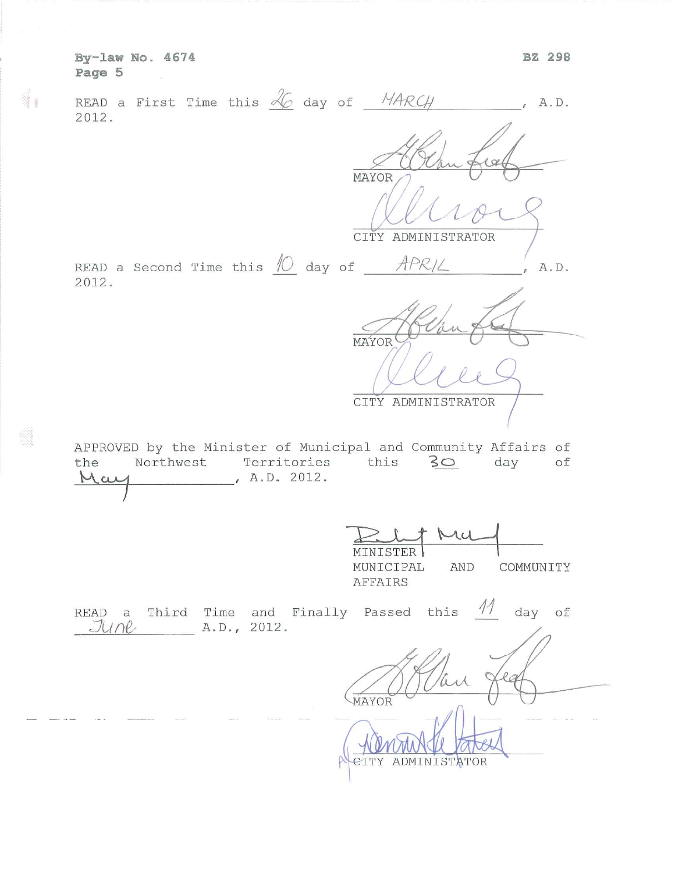By-law No. 4674<br>Page 5  $\frac{1}{2}$ 

 $\mathbb{R}^n$ 

 $\frac{d}{2} \rho$ 

 $\frac{\partial \widetilde{\mathcal{L}}}{\partial \widetilde{\mathcal{L}}}$ 

| READ a First Time this $\frac{\mathcal{A}_{\mathcal{C}}}{\mathcal{A}_{\mathcal{C}}}$ day of $\frac{N_{\mathcal{A}}}{N_{\mathcal{C}}}\left(\frac{1}{N_{\mathcal{C}}}\right)$<br>$A$ . D.<br>2012. |
|--------------------------------------------------------------------------------------------------------------------------------------------------------------------------------------------------|
| MAYOR<br>CITY ADMINISTRATOR                                                                                                                                                                      |
| READ a Second Time this $\frac{1}{\sqrt{2}}$ day of $\frac{APR}{L}$<br>A.D.<br>2012.                                                                                                             |
| MAYOR<br>CITY ADMINISTRATOR                                                                                                                                                                      |
| APPROVED by the Minister of Municipal and Community Affairs of<br>Northwest Territories this 30<br>day<br>оf<br>the<br>, A.D. 2012.<br>rai                                                       |
| MU<br>MINISTER<br>MUNICIPAL<br>AND<br>COMMUNITY<br>AFFAIRS                                                                                                                                       |
| READ a Third Time and Finally Passed this $M$<br>day of<br>$JUPB$ $A.D., 2012.$                                                                                                                  |
| MAYOR<br>ADMINISTATOR                                                                                                                                                                            |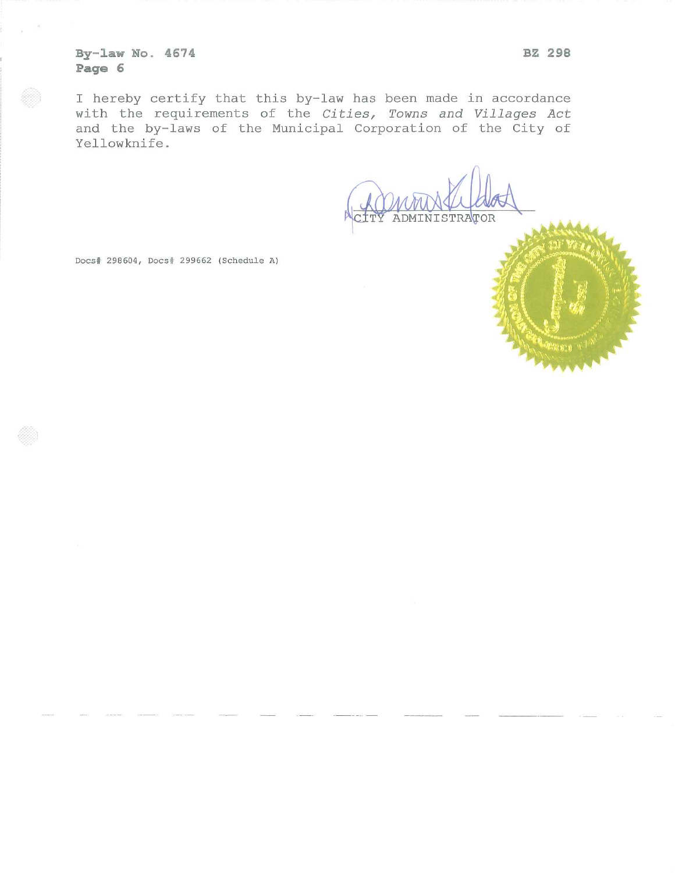By-law No. 4674 Page 6

I hereby certify that this by-law has been made in accordance with the requirements of the Cities, Towns and Villages Act and the by-laws of the Municipal Corporation of the City of Yellowknife.

ADMINISTRATOR

Docs# 298604, Docs# 299662 (Schedule A)